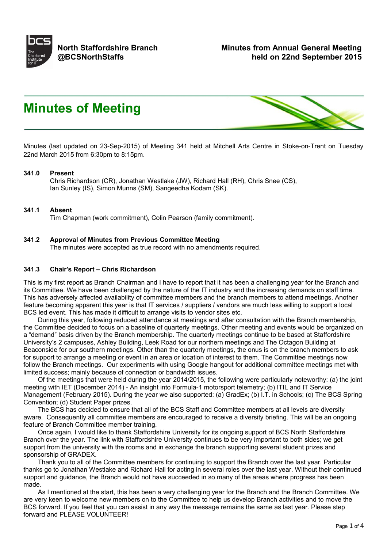

# **Minutes of Meeting**



Minutes (last updated on 23-Sep-2015) of Meeting 341 held at Mitchell Arts Centre in Stoke-on-Trent on Tuesday 22nd March 2015 from 6:30pm to 8:15pm.

#### **341.0 Present**

Chris Richardson (CR), Jonathan Westlake (JW), Richard Hall (RH), Chris Snee (CS), Ian Sunley (IS), Simon Munns (SM), Sangeedha Kodam (SK).

#### **341.1 Absent**

Tim Chapman (work commitment), Colin Pearson (family commitment).

#### **341.2 Approval of Minutes from Previous Committee Meeting** The minutes were accepted as true record with no amendments required.

#### **341.3 Chair's Report – Chris Richardson**

This is my first report as Branch Chairman and I have to report that it has been a challenging year for the Branch and its Committee. We have been challenged by the nature of the IT industry and the increasing demands on staff time. This has adversely affected availability of committee members and the branch members to attend meetings. Another feature becoming apparent this year is that IT services / suppliers / vendors are much less willing to support a local BCS led event. This has made it difficult to arrange visits to vendor sites etc.

 During this year, following reduced attendance at meetings and after consultation with the Branch membership, the Committee decided to focus on a baseline of quarterly meetings. Other meeting and events would be organized on a "demand" basis driven by the Branch membership. The quarterly meetings continue to be based at Staffordshire University's 2 campuses, Ashley Building, Leek Road for our northern meetings and The Octagon Building at Beaconside for our southern meetings. Other than the quarterly meetings, the onus is on the branch members to ask for support to arrange a meeting or event in an area or location of interest to them. The Committee meetings now follow the Branch meetings. Our experiments with using Google hangout for additional committee meetings met with limited success; mainly because of connection or bandwidth issues.

 Of the meetings that were held during the year 2014/2015, the following were particularly noteworthy: (a) the joint meeting with IET (December 2014) - An insight into Formula-1 motorsport telemetry; (b) ITIL and IT Service Management (February 2015). During the year we also supported: (a) GradEx; (b) I.T. in Schools; (c) The BCS Spring Convention; (d) Student Paper prizes.

 The BCS has decided to ensure that all of the BCS Staff and Committee members at all levels are diversity aware. Consequently all committee members are encouraged to receive a diversity briefing. This will be an ongoing feature of Branch Committee member training.

 Once again, I would like to thank Staffordshire University for its ongoing support of BCS North Staffordshire Branch over the year. The link with Staffordshire University continues to be very important to both sides; we get support from the university with the rooms and in exchange the branch supporting several student prizes and sponsorship of GRADEX.

 Thank you to all of the Committee members for continuing to support the Branch over the last year. Particular thanks go to Jonathan Westlake and Richard Hall for acting in several roles over the last year. Without their continued support and guidance, the Branch would not have succeeded in so many of the areas where progress has been made.

 As I mentioned at the start, this has been a very challenging year for the Branch and the Branch Committee. We are very keen to welcome new members on to the Committee to help us develop Branch activities and to move the BCS forward. If you feel that you can assist in any way the message remains the same as last year. Please step forward and PLEASE VOLUNTEER!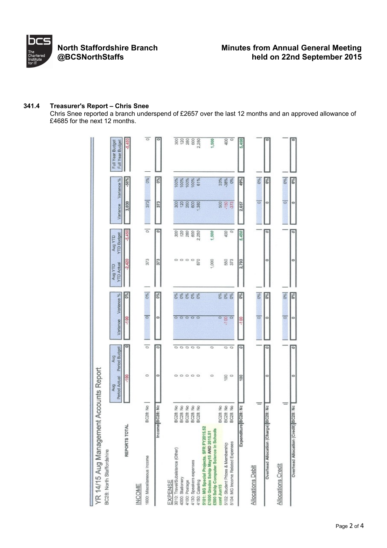

#### **341.4 Treasurer's Report – Chris Snee**

Chris Snee reported a branch underspend of £2657 over the last 12 months and an approved allowance of £4685 for the next 12 months.

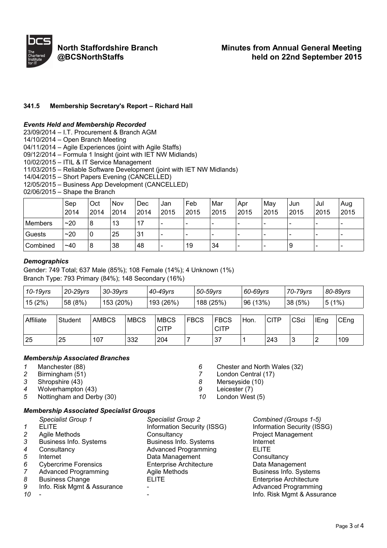

**North Staffordshire Branch @BCSNorthStaffs**

## **341.5 Membership Secretary's Report – Richard Hall**

#### *Events Held and Membership Recorded*

23/09/2014 – I.T. Procurement & Branch AGM

14/10/2014 – Open Branch Meeting

04/11/2014 – Agile Experiences (joint with Agile Staffs)

09/12/2014 – Formula 1 Insight (joint with IET NW Midlands)

10/02/2015 – ITIL & IT Service Management

11/03/2015 – Reliable Software Development (joint with IET NW Midlands)

14/04/2015 – Short Papers Evening (CANCELLED)

12/05/2015 – Business App Development (CANCELLED)

02/06/2015 – Shape the Branch

|                | Sep<br>2014 | Oct<br>2014 | Nov<br>2014 | Dec<br>2014 | Jan<br>2015              | Feb<br>2015 | Mar<br>2015              | Apr<br>2015              | May<br>2015              | Jun<br>2015              | Jul<br>2015 | Aug<br>2015              |
|----------------|-------------|-------------|-------------|-------------|--------------------------|-------------|--------------------------|--------------------------|--------------------------|--------------------------|-------------|--------------------------|
| <b>Members</b> | ~20         | 8           | 13          | 17          | $\overline{\phantom{0}}$ |             | -                        | $\overline{\phantom{0}}$ | -                        | $\,$                     | -           |                          |
| Guests         | ~20         | 0           | 25          | 31          | $\overline{\phantom{a}}$ |             | $\overline{\phantom{0}}$ | $\overline{\phantom{a}}$ |                          | $\overline{\phantom{a}}$ | -           |                          |
| Combined       | $~1$ ~40    | 8           | 38          | 48          | $\overline{\phantom{a}}$ | 19          | 34                       | -                        | $\overline{\phantom{a}}$ | 9                        | -           | $\overline{\phantom{0}}$ |

#### *Demographics*

Gender: 749 Total; 637 Male (85%); 108 Female (14%); 4 Unknown (1%) Branch Type: 793 Primary (84%); 148 Secondary (16%)

| 10-19yrs | 20-29 vrs | 30-39yrs  | 40-49yrs  | 50-59yrs | 60-69yrs | 70-79yrs | 80-89yrs            |
|----------|-----------|-----------|-----------|----------|----------|----------|---------------------|
| 15(2%)   | 58 (8%)   | 153 (20%) | 193 (26%) | 188(25%) | 96 (13%) | 38(5%)   | (1%)<br>$5^{\circ}$ |

| Affiliate | Student | <b>AMBCS</b> | <b>MBCS</b> | <b>MBCS</b><br>CITP | <b>FBCS</b> | <b>FBCS</b><br>CITF | Hon. | CITP | CSci | <b>IEng</b> | CEng |
|-----------|---------|--------------|-------------|---------------------|-------------|---------------------|------|------|------|-------------|------|
| 25        | 25      | 107          | 332         | 204                 |             | 27<br>ا ب           |      | 243  | ັ    | ∠           | 109  |

#### *Membership Associated Branches*

*1* Manchester (88) *6* Chester and North Wales (32)

- *2* Birmingham (51) *7* London Central (17)
- *3* Shropshire (43) *8* Merseyside (10)
- 
- *4* Wolverhampton (43) *9* Leicester (7) 5 Nottingham and Derby (30) **10**

# *Membership Associated Specialist Groups*

|                | Specialist Group 1            | Specialist Group 2             | Combined (Groups 1-5)          |
|----------------|-------------------------------|--------------------------------|--------------------------------|
| 1              | <b>ELITE</b>                  | Information Security (ISSG)    | Information Security (ISSG)    |
| 2              | Agile Methods                 | Consultancy                    | <b>Project Management</b>      |
| 3              | <b>Business Info. Systems</b> | <b>Business Info. Systems</b>  | Internet                       |
| 4              | Consultancy                   | <b>Advanced Programming</b>    | <b>ELITE</b>                   |
| 5              | Internet                      | Data Management                | Consultancy                    |
| 6              | <b>Cybercrime Forensics</b>   | <b>Enterprise Architecture</b> | Data Management                |
| $\overline{7}$ | <b>Advanced Programming</b>   | Agile Methods                  | <b>Business Info. Systems</b>  |
| 8              | <b>Business Change</b>        | <b>ELITE</b>                   | <b>Enterprise Architecture</b> |
| 9              | Info. Risk Mgmt & Assurance   |                                | <b>Advanced Programming</b>    |
| 10             |                               |                                | Info. Risk Mgmt & Assurance    |
|                |                               |                                |                                |